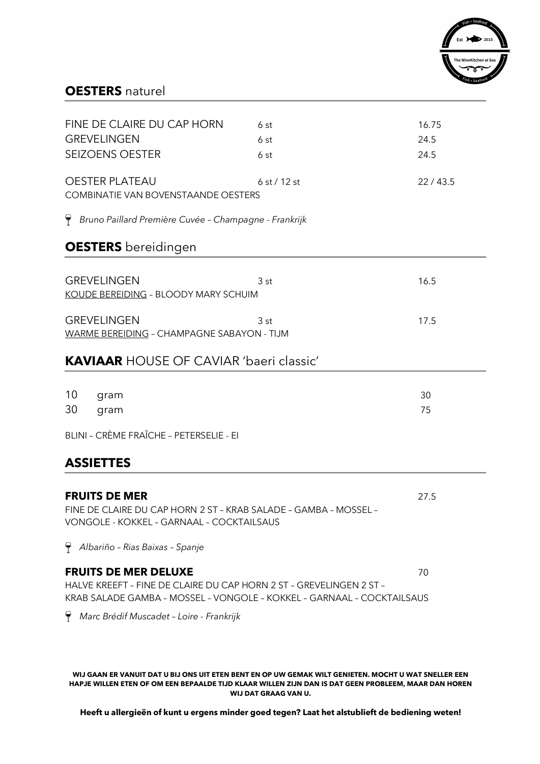

### **OESTERS** naturel

| FINE DE CLAIRE DU CAP HORN<br><b>GREVELINGEN</b><br><b>SEIZOENS OESTER</b>                                                                                                   | 6st<br>6 st<br>6 st | 16.75<br>24.5<br>24.5 |
|------------------------------------------------------------------------------------------------------------------------------------------------------------------------------|---------------------|-----------------------|
| <b>OESTER PLATEAU</b><br>COMBINATIE VAN BOVENSTAANDE OESTERS                                                                                                                 | 6 st / 12 st        | 22/43.5               |
| Bruno Paillard Première Cuvée - Champagne - Frankrijk                                                                                                                        |                     |                       |
| <b>OESTERS</b> bereidingen                                                                                                                                                   |                     |                       |
| <b>GREVELINGEN</b><br>KOUDE BEREIDING - BLOODY MARY SCHUIM                                                                                                                   | 3 st                | 16.5                  |
| <b>GREVELINGEN</b><br>WARME BEREIDING - CHAMPAGNE SABAYON - TIJM                                                                                                             | 3 st                | 17.5                  |
| <b>KAVIAAR HOUSE OF CAVIAR 'baeri classic'</b>                                                                                                                               |                     |                       |
| 10<br>gram<br>30<br>gram                                                                                                                                                     |                     | 30<br>75              |
| BLINI - CRÈME FRAÎCHE - PETERSELIE - EI                                                                                                                                      |                     |                       |
| <b>ASSIETTES</b>                                                                                                                                                             |                     |                       |
| <b>FRUITS DE MER</b><br>FINE DE CLAIRE DU CAP HORN 2 ST - KRAB SALADE - GAMBA - MOSSEL -<br>VONGOLE - KOKKEL - GARNAAL - COCKTAILSAUS                                        |                     | 27.5                  |
| $\bigcap$ Albariño - Rias Baixas - Spanje                                                                                                                                    |                     |                       |
| <b>FRUITS DE MER DELUXE</b><br>HALVE KREEFT - FINE DE CLAIRE DU CAP HORN 2 ST - GREVELINGEN 2 ST -<br>KRAB SALADE GAMBA - MOSSEL - VONGOLE - KOKKEL - GARNAAL - COCKTAILSAUS |                     | 70                    |
| $\Theta$<br>Marc Brédif Muscadet - Loire - Frankrijk                                                                                                                         |                     |                       |
|                                                                                                                                                                              |                     |                       |

WIJ GAAN ER VANUIT DAT U BIJ ONS UIT ETEN BENT EN OP UW GEMAK WILT GENIETEN. MOCHT U WAT SNELLER EEN HAPJE WILLEN ETEN OF OM EEN BEPAALDE TIJD KLAAR WILLEN ZIJN DAN IS DAT GEEN PROBLEEM, MAAR DAN HOREN **WIJ DAT GRAAG VAN U.** 

Heeft u allergieën of kunt u ergens minder goed tegen? Laat het alstublieft de bediening weten!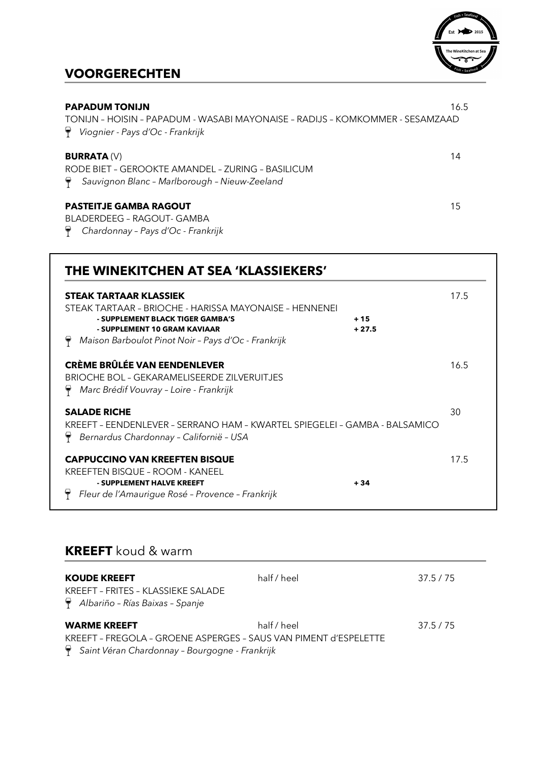

# **VOORGERECHTEN**

| <b>PAPADUM TONIJN</b><br>TONLIN - HOISIN - PAPADUM - WASABI MAYONAISE - RADLIS - KOMKOMMER - SESAMZAAD<br>Viognier - Pays d'Oc - Frankrijk | 16.5 |
|--------------------------------------------------------------------------------------------------------------------------------------------|------|
| <b>BURRATA (V)</b><br>RODE BIFT - GEROOKTE AMANDEL - ZURING - BASILICUM<br>Sauvignon Blanc - Marlborough - Nieuw-Zeeland                   | 14   |
| <b>PASTEITJE GAMBA RAGOUT</b><br>BLADERDEEG - RAGOUT- GAMBA<br>Chardonnay - Pays d'Oc - Frankrijk                                          | 15   |

| THE WINEKITCHEN AT SEA 'KLASSIEKERS'<br><b>STEAK TARTAAR KLASSIEK</b>                                                                                                             |                  | 17.5 |
|-----------------------------------------------------------------------------------------------------------------------------------------------------------------------------------|------------------|------|
| STEAK TARTAAR – BRIOCHE - HARISSA MAYONAISE – HENNENEI<br>- SUPPLEMENT BLACK TIGER GAMBA'S<br>- SUPPLEMENT 10 GRAM KAVIAAR<br>Maison Barboulot Pinot Noir - Pays d'Oc - Frankrijk | $+15$<br>$+27.5$ |      |
| <b>CRÈME BRÛLÉE VAN EENDENLEVER</b><br>BRIOCHE BOL - GEKARAMELISEERDE ZILVERUITJES<br>Marc Brédif Vouvray - Loire - Frankrijk                                                     |                  | 16.5 |
| <b>SALADE RICHE</b><br>KREEFT - EENDENLEVER - SERRANO HAM - KWARTEL SPIEGELEI - GAMBA - BALSAMICO<br>Bernardus Chardonnay - Californië - USA                                      |                  | 30   |
| <b>CAPPUCCINO VAN KREEFTEN BISQUE</b><br>KREEFTEN BISQUE – ROOM - KANEEL<br>- SUPPLEMENT HALVE KREEFT<br>Fleur de l'Amaurique Rosé - Provence - Frankrijk                         | $+34$            | 17.5 |

# **KREEFT** koud & warm

| <b>KOUDE KREEFT</b><br>KREEFT - FRITES - KLASSIEKE SALADE<br>$\bigcirc$ Albariño - Rías Baixas - Spanje | half / heel | 37.5 / 75 |
|---------------------------------------------------------------------------------------------------------|-------------|-----------|
| <b>WARME KREEFT</b>                                                                                     | half / heel | 37.5/75   |
| KREEFT - FREGOLA - GROENE ASPERGES - SAUS VAN PIMENT d'ESPELETTE                                        |             |           |
| Saint Véran Chardonnay - Bourgogne - Frankrijk                                                          |             |           |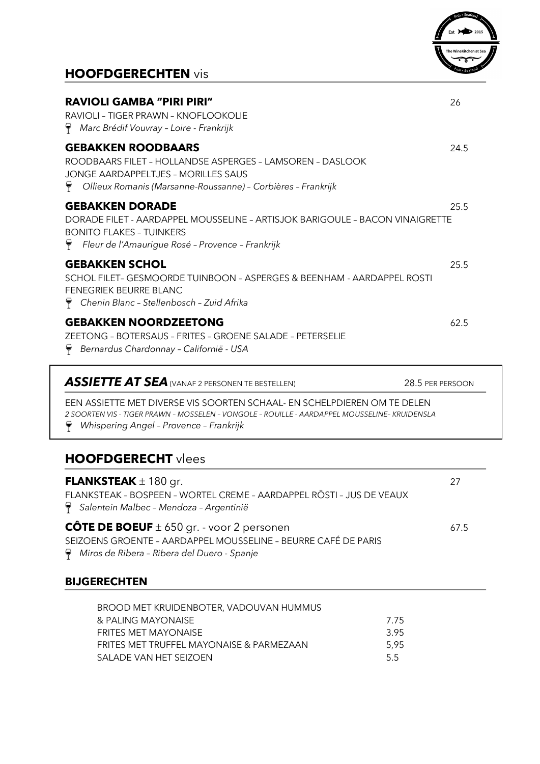# **HOOFDGERECHTEN** vis



| <b>RAVIOLI GAMBA "PIRI PIRI"</b><br>RAVIOLI - TIGER PRAWN - KNOFLOOKOLIE<br>$\forall$ Marc Brédif Vouvray - Loire - Frankrijk                                                                                                        | 26   |
|--------------------------------------------------------------------------------------------------------------------------------------------------------------------------------------------------------------------------------------|------|
| <b>GEBAKKEN ROODBAARS</b><br>ROODBAARS FILET - HOLLANDSE ASPERGES - LAMSOREN - DASLOOK<br><b>JONGE AARDAPPELTJES - MORILLES SAUS</b><br>$\forall$ Ollieux Romanis (Marsanne-Roussanne) - Corbières - Frankrijk                       | 24.5 |
| <b>GEBAKKEN DORADE</b><br>DORADE FILET - AARDAPPEL MOUSSELINE - ARTISJOK BARIGOULE - BACON VINAIGRETTE<br><b>BONITO FLAKES - TUINKERS</b><br>$\P$ Fleur de l'Amaurique Rosé - Provence - Frankrijk                                   | 25.5 |
| <b>GEBAKKEN SCHOL</b><br>SCHOL FILET- GESMOORDE TUINBOON - ASPERGES & BEENHAM - AARDAPPEL ROSTI<br>FENEGRIEK BEURRE BLANC<br>$\forall$ Chenin Blanc - Stellenbosch - Zuid Afrika                                                     | 25.5 |
| <b>GEBAKKEN NOORDZEETONG</b><br>ZEETONG - BOTERSAUS - FRITES - GROENE SALADE - PETERSELIE<br>Bernardus Chardonnay - Californië - USA<br>Y                                                                                            | 62.5 |
| <b>ASSIETTE AT SEA</b> (VANAF 2 PERSONEN TE BESTELLEN)<br>28.5 PER PERSOON                                                                                                                                                           |      |
| EEN ASSIETTE MET DIVERSE VIS SOORTEN SCHAAL- EN SCHELPDIEREN OM TE DELEN<br>2 SOORTEN VIS - TIGER PRAWN - MOSSELEN - VONGOLE - ROUILLE - AARDAPPEL MOUSSELINE- KRUIDENSLA<br>$\triangledown$ Whispering Angel - Provence - Frankrijk |      |
| <b>HOOFDGERECHT</b> vlees                                                                                                                                                                                                            |      |
| <b>FLANKSTEAK</b> $\pm$ 180 gr.<br>FLANKSTEAK - BOSPEEN - WORTEL CREME - AARDAPPEL RÖSTI - JUS DE VEAUX<br>Salentein Malbec - Mendoza - Argentinië                                                                                   | 27   |
| <b>CÔTE DE BOEUF</b> $\pm$ 650 gr. - voor 2 personen                                                                                                                                                                                 | 67.5 |

SEIZOENS GROENTE – AARDAPPEL MOUSSELINE – BEURRE CAFÉ DE PARIS

*Miros de Ribera – Ribera del Duero - Spanje*

### **BIJGERECHTEN**

| BROOD MET KRUIDENBOTER, VADOUVAN HUMMUS  |       |
|------------------------------------------|-------|
| & PALING MAYONAISE                       | -7.75 |
| <b>FRITES MET MAYONAISE</b>              | -3.95 |
| FRITES MET TRUFFEL MAYONAISE & PARMEZAAN | 5.95  |
| SALADE VAN HET SEIZOEN                   | 55    |